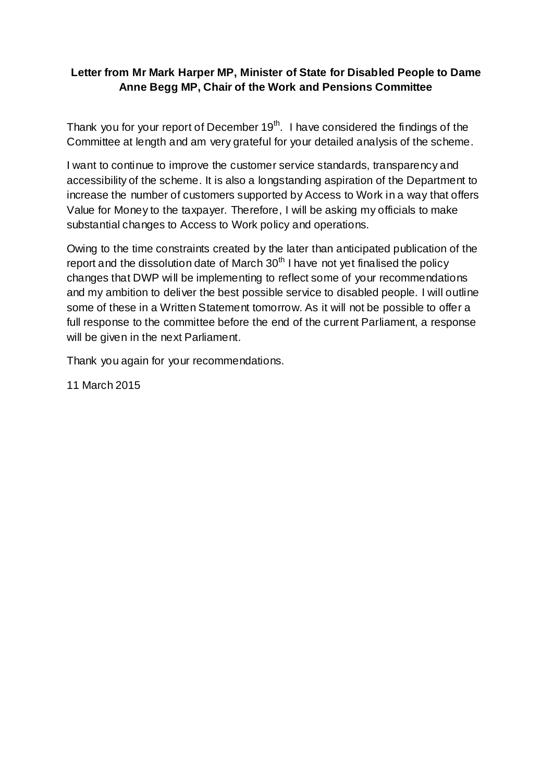## **Letter from Mr Mark Harper MP, Minister of State for Disabled People to Dame Anne Begg MP, Chair of the Work and Pensions Committee**

Thank you for your report of December  $19<sup>th</sup>$ . I have considered the findings of the Committee at length and am very grateful for your detailed analysis of the scheme.

I want to continue to improve the customer service standards, transparency and accessibility of the scheme. It is also a longstanding aspiration of the Department to increase the number of customers supported by Access to Work in a way that offers Value for Money to the taxpayer. Therefore, I will be asking my officials to make substantial changes to Access to Work policy and operations.

Owing to the time constraints created by the later than anticipated publication of the report and the dissolution date of March  $30<sup>th</sup>$  I have not yet finalised the policy changes that DWP will be implementing to reflect some of your recommendations and my ambition to deliver the best possible service to disabled people. I will outline some of these in a Written Statement tomorrow. As it will not be possible to offer a full response to the committee before the end of the current Parliament, a response will be given in the next Parliament.

Thank you again for your recommendations.

11 March 2015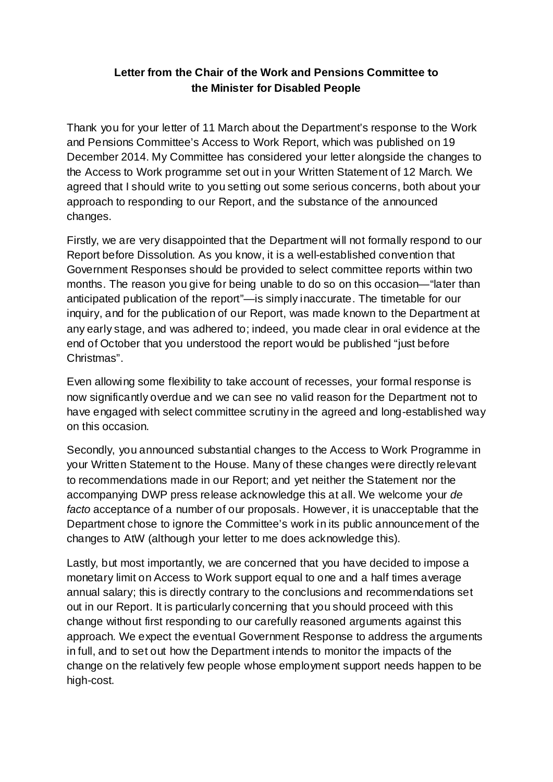## **Letter from the Chair of the Work and Pensions Committee to the Minister for Disabled People**

Thank you for your letter of 11 March about the Department's response to the Work and Pensions Committee's Access to Work Report, which was published on 19 December 2014. My Committee has considered your letter alongside the changes to the Access to Work programme set out in your Written Statement of 12 March. We agreed that I should write to you setting out some serious concerns, both about your approach to responding to our Report, and the substance of the announced changes.

Firstly, we are very disappointed that the Department will not formally respond to our Report before Dissolution. As you know, it is a well-established convention that Government Responses should be provided to select committee reports within two months. The reason you give for being unable to do so on this occasion—"later than anticipated publication of the report"—is simply inaccurate. The timetable for our inquiry, and for the publication of our Report, was made known to the Department at any early stage, and was adhered to; indeed, you made clear in oral evidence at the end of October that you understood the report would be published "just before Christmas".

Even allowing some flexibility to take account of recesses, your formal response is now significantly overdue and we can see no valid reason for the Department not to have engaged with select committee scrutiny in the agreed and long-established way on this occasion.

Secondly, you announced substantial changes to the Access to Work Programme in your Written Statement to the House. Many of these changes were directly relevant to recommendations made in our Report; and yet neither the Statement nor the accompanying DWP press release acknowledge this at all. We welcome your *de facto* acceptance of a number of our proposals. However, it is unacceptable that the Department chose to ignore the Committee's work in its public announcement of the changes to AtW (although your letter to me does acknowledge this).

Lastly, but most importantly, we are concerned that you have decided to impose a monetary limit on Access to Work support equal to one and a half times average annual salary; this is directly contrary to the conclusions and recommendations set out in our Report. It is particularly concerning that you should proceed with this change without first responding to our carefully reasoned arguments against this approach. We expect the eventual Government Response to address the arguments in full, and to set out how the Department intends to monitor the impacts of the change on the relatively few people whose employment support needs happen to be high-cost.